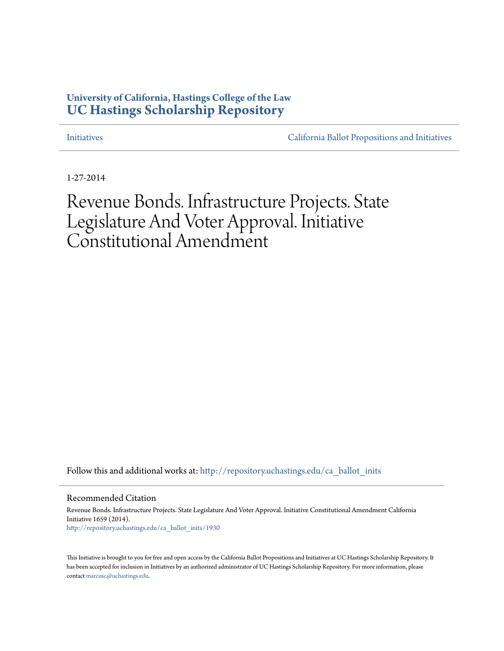## **University of California, Hastings College of the Law [UC Hastings Scholarship Repository](http://repository.uchastings.edu?utm_source=repository.uchastings.edu%2Fca_ballot_inits%2F1930&utm_medium=PDF&utm_campaign=PDFCoverPages)**

[Initiatives](http://repository.uchastings.edu/ca_ballot_inits?utm_source=repository.uchastings.edu%2Fca_ballot_inits%2F1930&utm_medium=PDF&utm_campaign=PDFCoverPages) [California Ballot Propositions and Initiatives](http://repository.uchastings.edu/ca_ballots?utm_source=repository.uchastings.edu%2Fca_ballot_inits%2F1930&utm_medium=PDF&utm_campaign=PDFCoverPages)

1-27-2014

# Revenue Bonds. Infrastructure Projects. State Legislature And Voter Approval. Initiative Constitutional Amendment

Follow this and additional works at: [http://repository.uchastings.edu/ca\\_ballot\\_inits](http://repository.uchastings.edu/ca_ballot_inits?utm_source=repository.uchastings.edu%2Fca_ballot_inits%2F1930&utm_medium=PDF&utm_campaign=PDFCoverPages)

Recommended Citation

Revenue Bonds. Infrastructure Projects. State Legislature And Voter Approval. Initiative Constitutional Amendment California Initiative 1659 (2014). [http://repository.uchastings.edu/ca\\_ballot\\_inits/1930](http://repository.uchastings.edu/ca_ballot_inits/1930?utm_source=repository.uchastings.edu%2Fca_ballot_inits%2F1930&utm_medium=PDF&utm_campaign=PDFCoverPages)

This Initiative is brought to you for free and open access by the California Ballot Propositions and Initiatives at UC Hastings Scholarship Repository. It has been accepted for inclusion in Initiatives by an authorized administrator of UC Hastings Scholarship Repository. For more information, please contact [marcusc@uchastings.edu](mailto:marcusc@uchastings.edu).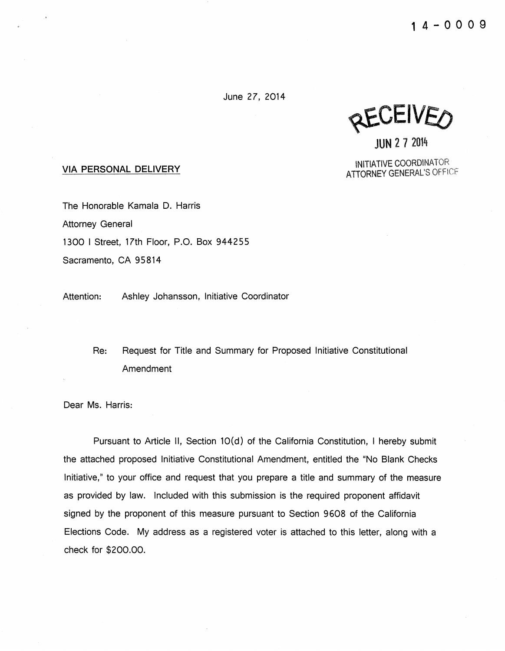$1 4 - 0 0 0 9$ 

June 27, 2014

**RECEIVEO** 

JUN 2 7 2014

INITIATIVE COORDINATOR ATTORNEY GENERAL'S OFFICF

#### VIA PERSONAL DELIVERY

The Honorable Kamala D. Harris Attorney General 1300 I Street, 17th Floor, P.O. Box 944255 Sacramento, CA 95814

Attention: Ashley Johansson, Initiative Coordinator

Re: Request for Title and Summary for Proposed Initiative Constitutional Amendment

Dear Ms. Harris:

Pursuant to Article II, Section 10(d) of the California Constitution, I hereby submit the attached proposed Initiative Constitutional Amendment, entitled the "No Blank Checks Initiative," to your office and request that you prepare a title and summary of the measure as provided by law. Included with this submission is the required proponent affidavit signed by the proponent of this measure pursuant to Section 9 608 of the California Elections Code. My address as a registered voter is attached to this letter, along with a check for \$200.00.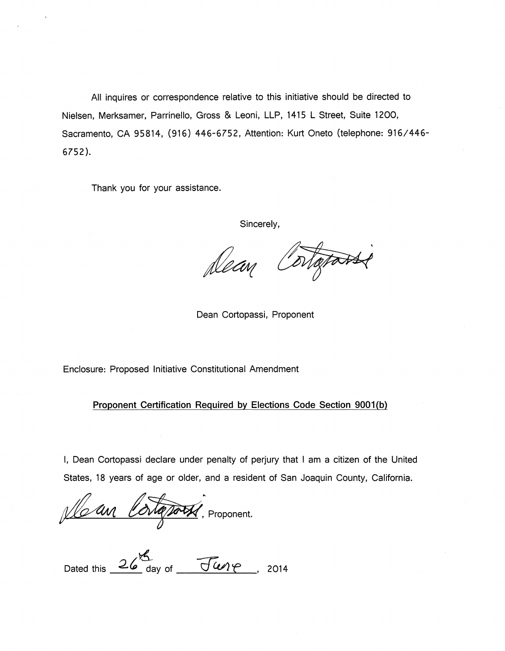All inquires or correspondence relative to this initiative should be directed to Nielsen, Merksamer, Parrinello, Gross & Leoni, LLP, 1415 L Street, Suite 1200, Sacramento, CA 95814, (916) 446-6752, Attention: Kurt Oneto (telephone: 916/446- 6752).

Thank you for your assistance.

Sincerely,

otatasse Dean

Dean Cortopassi, Proponent

Enclosure: Proposed Initiative Constitutional Amendment

Proponent Certification Required by Elections Code Section 9001(b)

I, Dean Cortopassi declare under penalty of perjury that I am a citizen of the United States, 18 years of age or older, and a resident of San Joaquin County, California.

Vla an Cortatory, Proponent.

 $\kappa$ Dated this  $26^\circ$  day of  $\sqrt{500^\circ}$ , 2014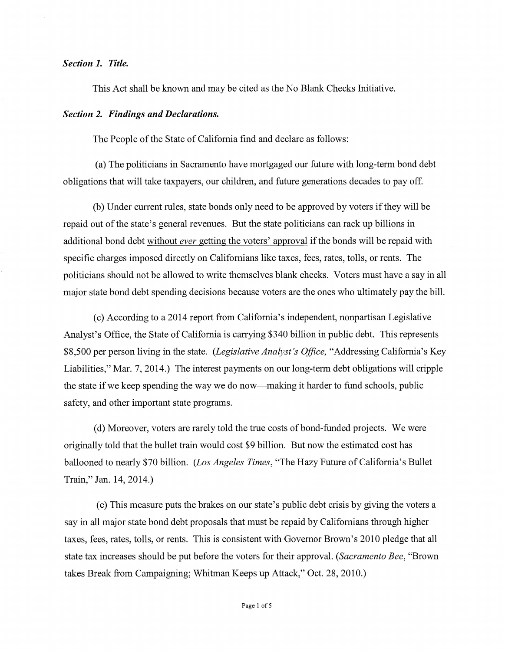#### *Section 1. Title.*

This Act shall be known and may be cited as the No Blank Checks Initiative.

#### *Section 2. Findings and Declarations.*

The People of the State of California find and declare as follows:

(a) The politicians in Sacramento have mortgaged our future with long-term bond debt obligations that will take taxpayers, our children, and future generations decades to pay off.

(b) Under current rules, state bonds only need to be approved by voters if they will be repaid out of the state's general revenues. But the state politicians can rack up billions in additional bond debt without *ever* getting the voters' approval if the bonds will be repaid with specific charges imposed directly on Californians like taxes, fees, rates, tolls, or rents. The politicians should not be allowed to write themselves blank checks. Voters must have a say in all major state bond debt spending decisions because voters are the ones who ultimately pay the bill.

(c) According to a 2014 report from California's independent, nonpartisan Legislative Analyst's Office, the State of California is carrying \$340 billion in public debt. This represents \$8,500 per person living in the state. *(Legislative Analyst's Office,* "Addressing California's Key Liabilities," Mar. 7, 2014.) The interest payments on our long-term debt obligations will cripple the state if we keep spending the way we do now-making it harder to fund schools, public safety, and other important state programs.

(d) Moreover, voters are rarely told the true costs of bond-funded projects. We were originally told that the bullet train would cost \$9 billion. But now the estimated cost has ballooned to nearly \$70 billion. *(Los Angeles Times,* "The Hazy Future of California's Bullet Train," Jan. 14, 2014.)

(e) This measure puts the brakes on our state's public debt crisis by giving the voters a say in all major state bond debt proposals that must be repaid by Californians through higher taxes, fees, rates, tolls, or rents. This is consistent with Governor Brown's 2010 pledge that all state tax increases should be put before the voters for their approval. *(Sacramento Bee,* "Brown takes Break from Campaigning; Whitman Keeps up Attack," Oct. 28, 2010.)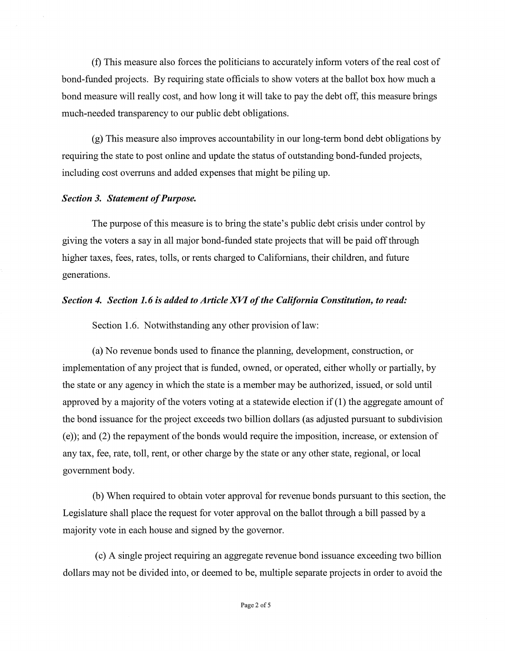(f) This measure also forces the politicians to accurately inform voters of the real cost of bond-funded projects. By requiring state officials to show voters at the ballot box how much a bond measure will really cost, and how long it will take to pay the debt off, this measure brings much-needed transparency to our public debt obligations.

(g) This measure also improves accountability in our long-term bond debt obligations by requiring the state to post online and update the status of outstanding bond-funded projects, including cost overruns and added expenses that might be piling up.

#### *Section 3. Statement of Purpose.*

The purpose of this measure is to bring the state's public debt crisis under control by giving the voters a say in all major bond-funded state projects that will be paid off through higher taxes, fees, rates, tolls, or rents charged to Californians, their children, and future generations.

#### *Section 4. Section 1. 6 is added to Article XVI of the California Constitution, to read:*

Section 1.6. Notwithstanding any other provision of law:

(a) No revenue bonds used to finance the planning, development, construction, or implementation of any project that is funded, owned, or operated, either wholly or partially, by the state or any agency in which the state is a member may be authorized, issued, or sold until approved by a majority of the voters voting at a statewide election if (1) the aggregate amount of the bond issuance for the project exceeds two billion dollars (as adjusted pursuant to subdivision (e)); and (2) the repayment of the bonds would require the imposition, increase, or extension of any tax, fee, rate, toll, rent, or other charge by the state or any other state, regional, or local government body.

(b) When required to obtain voter approval for revenue bonds pursuant to this section, the Legislature shall place the request for voter approval on the ballot through a bill passed by a majority vote in each house and signed by the governor.

(c) A single project requiring an aggregate revenue bond issuance exceeding two billion dollars may not be divided into, or deemed to be, multiple separate projects in order to avoid the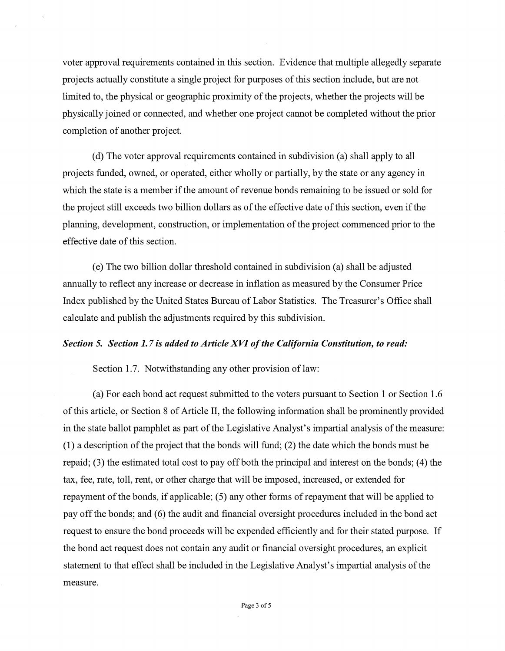voter approval requirements contained in this section. Evidence that multiple allegedly separate projects actually constitute a single project for purposes of this section include, but are not limited to, the physical or geographic proximity of the projects, whether the projects will be physically joined or connected, and whether one project cannot be completed without the prior completion of another project.

(d) The voter approval requirements contained in subdivision (a) shall apply to all projects funded, owned, or operated, either wholly or partially, by the state or any agency in which the state is a member if the amount of revenue bonds remaining to be issued or sold for the project still exceeds two billion dollars as of the effective date of this section, even if the planning, development, construction, or implementation of the project commenced prior to the effective date of this section.

(e) The two billion dollar threshold contained in subdivision (a) shall be adjusted annually to reflect any increase or decrease in inflation as measured by the Consumer Price Index published by the United States Bureau of Labor Statistics. The Treasurer's Office shall calculate and publish the adjustments required by this subdivision.

#### *Section 5. Section 1.* 7 *is added to Article XVI of the California Constitution, to read:*

Section 1.7. Notwithstanding any other provision of law:

(a) For each bond act request submitted to the voters pursuant to Section 1 or Section 1.6 of this article, or Section 8 of Article II, the following information shall be prominently provided in the state ballot pamphlet as part of the Legislative Analyst's impartial analysis of the measure: (1) a description of the project that the bonds will fund; (2) the date which the bonds must be repaid; (3) the estimated total cost to pay off both the principal and interest on the bonds; (4) the tax, fee, rate, toll, rent, or other charge that will be imposed, increased, or extended for repayment of the bonds, if applicable; (5) any other forms of repayment that will be applied to pay off the bonds; and (6) the audit and financial oversight procedures included in the bond act request to ensure the bond proceeds will be expended efficiently and for their stated purpose. If the bond act request does not contain any audit or financial oversight procedures, an explicit statement to that effect shall be included in the Legislative Analyst's impartial analysis of the measure.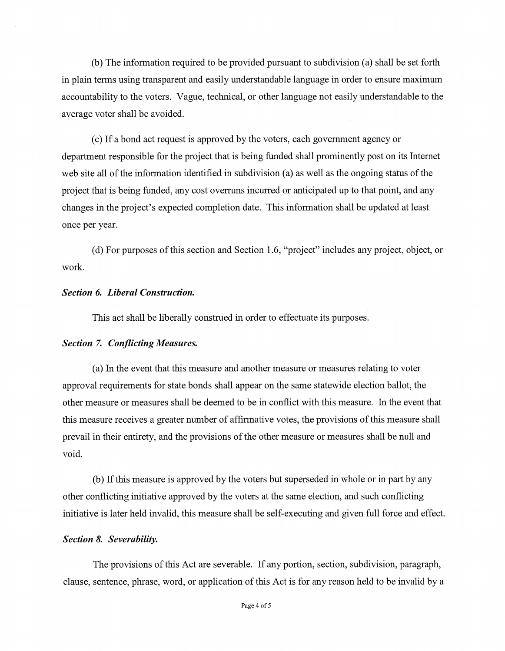(b) The information required to be provided pursuant to subdivision (a) shall be set forth in plain terms using transparent and easily understandable language in order to ensure maximum accountability to the voters. Vague, technical, or other language not easily understandable to the average voter shall be avoided.

(c) If a bond act request is approved by the voters, each government agency or department responsible for the project that is being funded shall prominently post on its Internet web site all of the information identified in subdivision (a) as well as the ongoing status of the project that is being funded, any cost overruns incurred or anticipated up to that point, and any changes in the project's expected completion date. This information shall be updated at least once per year.

(d) For purposes of this section and Section 1.6, "project" includes any project, object, or work.

#### *Section 6. Liberal Construction.*

This act shall be liberally construed in order to effectuate its purposes.

#### *Section* 7. *Conflicting Measures.*

(a) In the event that this measure and another measure or measures relating to voter approval requirements for state bonds shall appear on the same statewide election ballot, the other measure or measures shall be deemed to be in conflict with this measure. In the event that this measure receives a greater number of affirmative votes, the provisions of this measure shall prevail in their entirety, and the provisions of the other measure or measures shall be null and void.

(b) If this measure is approved by the voters but superseded in whole or in part by any other conflicting initiative approved by the voters at the same election, and such conflicting initiative is later held invalid, this measure shall be self-executing and given full force and effect.

#### *Section 8. Severability.*

The provisions of this Act are severable. If any portion, section, subdivision, paragraph, clause, sentence, phrase, word, or application of this Act is for any reason held to be invalid by a